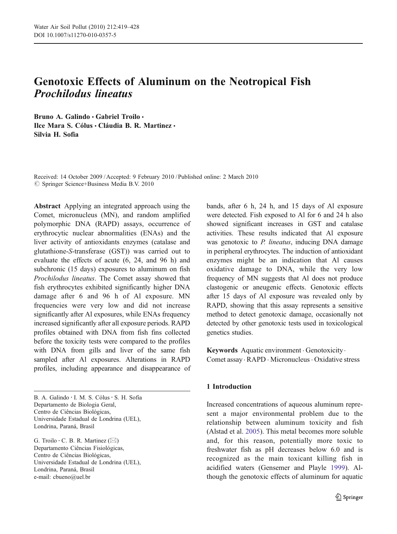# Genotoxic Effects of Aluminum on the Neotropical Fish Prochilodus lineatus

Bruno A. Galindo · Gabriel Troilo · Ilce Mara S. Cólus · Cláudia B. R. Martinez · Silvia H. Sofia

Received: 14 October 2009 /Accepted: 9 February 2010 / Published online: 2 March 2010  $\oslash$  Springer Science+Business Media B.V. 2010

Abstract Applying an integrated approach using the Comet, micronucleus (MN), and random amplified polymorphic DNA (RAPD) assays, occurrence of erythrocytic nuclear abnormalities (ENAs) and the liver activity of antioxidants enzymes (catalase and glutathione-S-transferase (GST)) was carried out to evaluate the effects of acute (6, 24, and 96 h) and subchronic (15 days) exposures to aluminum on fish Prochilodus lineatus. The Comet assay showed that fish erythrocytes exhibited significantly higher DNA damage after 6 and 96 h of Al exposure. MN frequencies were very low and did not increase significantly after Al exposures, while ENAs frequency increased significantly after all exposure periods. RAPD profiles obtained with DNA from fish fins collected before the toxicity tests were compared to the profiles with DNA from gills and liver of the same fish sampled after Al exposures. Alterations in RAPD profiles, including appearance and disappearance of

G. Troilo  $\cdot$  C. B. R. Martinez ( $\boxtimes$ ) Departamento Ciências Fisiológicas, Centro de Ciências Biológicas, Universidade Estadual de Londrina (UEL), Londrina, Paraná, Brasil e-mail: cbueno@uel.br

bands, after 6 h, 24 h, and 15 days of Al exposure were detected. Fish exposed to Al for 6 and 24 h also showed significant increases in GST and catalase activities. These results indicated that Al exposure was genotoxic to *P. lineatus*, inducing DNA damage in peripheral erythrocytes. The induction of antioxidant enzymes might be an indication that Al causes oxidative damage to DNA, while the very low frequency of MN suggests that Al does not produce clastogenic or aneugenic effects. Genotoxic effects after 15 days of Al exposure was revealed only by RAPD, showing that this assay represents a sensitive method to detect genotoxic damage, occasionally not detected by other genotoxic tests used in toxicological genetics studies.

Keywords Aquatic environment . Genotoxicity . Comet assay . RAPD . Micronucleus . Oxidative stress

## 1 Introduction

Increased concentrations of aqueous aluminum represent a major environmental problem due to the relationship between aluminum toxicity and fish (Alstad et al. [2005](#page-8-0)). This metal becomes more soluble and, for this reason, potentially more toxic to freshwater fish as pH decreases below 6.0 and is recognized as the main toxicant killing fish in acidified waters (Gensemer and Playle [1999\)](#page-9-0). Although the genotoxic effects of aluminum for aquatic

B. A. Galindo · I. M. S. Cólus · S. H. Sofia Departamento de Biologia Geral, Centro de Ciências Biológicas, Universidade Estadual de Londrina (UEL), Londrina, Paraná, Brasil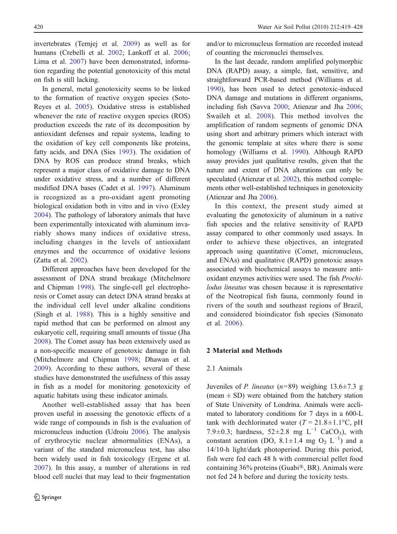invertebrates (Ternjej et al. [2009\)](#page-9-0) as well as for humans (Crebelli et al. [2002;](#page-8-0) Lankoff et al. [2006](#page-9-0); Lima et al. [2007\)](#page-9-0) have been demonstrated, information regarding the potential genotoxicity of this metal on fish is still lacking.

In general, metal genotoxicity seems to be linked to the formation of reactive oxygen species (Soto-Reyes et al. [2005\)](#page-9-0). Oxidative stress is established whenever the rate of reactive oxygen species (ROS) production exceeds the rate of its decomposition by antioxidant defenses and repair systems, leading to the oxidation of key cell components like proteins, fatty acids, and DNA (Sies [1993](#page-9-0)). The oxidation of DNA by ROS can produce strand breaks, which represent a major class of oxidative damage to DNA under oxidative stress, and a number of different modified DNA bases (Cadet et al. [1997\)](#page-8-0). Aluminum is recognized as a pro-oxidant agent promoting biological oxidation both in vitro and in vivo (Exley [2004\)](#page-9-0). The pathology of laboratory animals that have been experimentally intoxicated with aluminum invariably shows many indices of oxidative stress, including changes in the levels of antioxidant enzymes and the occurrence of oxidative lesions (Zatta et al. [2002\)](#page-9-0).

Different approaches have been developed for the assessment of DNA strand breakage (Mitchelmore and Chipman [1998](#page-9-0)). The single-cell gel electrophoresis or Comet assay can detect DNA strand breaks at the individual cell level under alkaline conditions (Singh et al. [1988](#page-9-0)). This is a highly sensitive and rapid method that can be performed on almost any eukaryotic cell, requiring small amounts of tissue (Jha [2008\)](#page-9-0). The Comet assay has been extensively used as a non-specific measure of genotoxic damage in fish (Mitchelmore and Chipman [1998;](#page-9-0) Dhawan et al. [2009\)](#page-8-0). According to these authors, several of these studies have demonstrated the usefulness of this assay in fish as a model for monitoring genotoxicity of aquatic habitats using these indicator animals.

Another well-established assay that has been proven useful in assessing the genotoxic effects of a wide range of compounds in fish is the evaluation of micronucleus induction (Udroiu [2006](#page-9-0)). The analysis of erythrocytic nuclear abnormalities (ENAs), a variant of the standard micronucleus test, has also been widely used in fish toxicology (Ergene et al. [2007\)](#page-9-0). In this assay, a number of alterations in red blood cell nuclei that may lead to their fragmentation

and/or to micronucleus formation are recorded instead of counting the micronuclei themselves.

In the last decade, random amplified polymorphic DNA (RAPD) assay, a simple, fast, sensitive, and straightforward PCR-based method (Williams et al. [1990\)](#page-9-0), has been used to detect genotoxic-induced DNA damage and mutations in different organisms, including fish (Savva [2000;](#page-9-0) Atienzar and Jha [2006;](#page-8-0) Swaileh et al. [2008](#page-9-0)). This method involves the amplification of random segments of genomic DNA using short and arbitrary primers which interact with the genomic template at sites where there is some homology (Williams et al. [1990\)](#page-9-0). Although RAPD assay provides just qualitative results, given that the nature and extent of DNA alterations can only be speculated (Atienzar et al. [2002](#page-8-0)), this method complements other well-established techniques in genotoxicity (Atienzar and Jha [2006\)](#page-8-0).

In this context, the present study aimed at evaluating the genotoxicity of aluminum in a native fish species and the relative sensitivity of RAPD assay compared to other commonly used assays. In order to achieve these objectives, an integrated approach using quantitative (Comet, micronucleus, and ENAs) and qualitative (RAPD) genotoxic assays associated with biochemical assays to measure antioxidant enzymes activities were used. The fish Prochilodus lineatus was chosen because it is representative of the Neotropical fish fauna, commonly found in rivers of the south and southeast regions of Brazil, and considered bioindicator fish species (Simonato et al. [2006](#page-9-0)).

# 2 Material and Methods

## 2.1 Animals

Juveniles of *P. lineatus* ( $n=89$ ) weighing 13.6 $\pm$ 7.3 g (mean  $\pm$  SD) were obtained from the hatchery station of State University of Londrina. Animals were acclimated to laboratory conditions for 7 days in a 600-L tank with dechlorinated water ( $T = 21.8 \pm 1.1$ °C, pH 7.9±0.3; hardness,  $52\pm2.8$  mg L<sup>-1</sup> CaCO<sub>3</sub>), with constant aeration (DO,  $8.1 \pm 1.4$  mg O<sub>2</sub> L<sup>-1</sup>) and a 14/10-h light/dark photoperiod. During this period, fish were fed each 48 h with commercial pellet food containing 36% proteins (Guabi®, BR). Animals were not fed 24 h before and during the toxicity tests.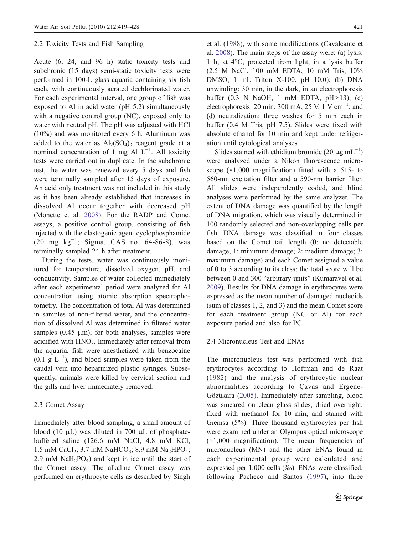## 2.2 Toxicity Tests and Fish Sampling

Acute (6, 24, and 96 h) static toxicity tests and subchronic (15 days) semi-static toxicity tests were performed in 100-L glass aquaria containing six fish each, with continuously aerated dechlorinated water. For each experimental interval, one group of fish was exposed to Al in acid water (pH 5.2) simultaneously with a negative control group (NC), exposed only to water with neutral pH. The pH was adjusted with HCl (10%) and was monitored every 6 h. Aluminum was added to the water as  $Al<sub>2</sub>(SO<sub>4</sub>)<sub>3</sub>$  reagent grade at a nominal concentration of 1 mg Al  $L^{-1}$ . All toxicity tests were carried out in duplicate. In the subchronic test, the water was renewed every 5 days and fish were terminally sampled after 15 days of exposure. An acid only treatment was not included in this study as it has been already established that increases in dissolved Al occur together with decreased pH (Monette et al. [2008](#page-9-0)). For the RADP and Comet assays, a positive control group, consisting of fish injected with the clastogenic agent cyclophosphamide (20 mg kg−<sup>1</sup> ; Sigma, CAS no. 64-86-8), was terminally sampled 24 h after treatment.

During the tests, water was continuously monitored for temperature, dissolved oxygen, pH, and conductivity. Samples of water collected immediately after each experimental period were analyzed for Al concentration using atomic absorption spectrophotometry. The concentration of total Al was determined in samples of non-filtered water, and the concentration of dissolved Al was determined in filtered water samples  $(0.45 \mu m)$ ; for both analyses, samples were acidified with HNO<sub>3</sub>. Immediately after removal from the aquaria, fish were anesthetized with benzocaine  $(0.1 \text{ g } L^{-1})$ , and blood samples were taken from the caudal vein into heparinized plastic syringes. Subsequently, animals were killed by cervical section and the gills and liver immediately removed.

## 2.3 Comet Assay

Immediately after blood sampling, a small amount of blood (10  $\mu$ L) was diluted in 700  $\mu$ L of phosphatebuffered saline (126.6 mM NaCl, 4.8 mM KCl, 1.5 mM CaCl<sub>2</sub>; 3.7 mM NaHCO<sub>3</sub>; 8.9 mM Na<sub>2</sub>HPO<sub>4</sub>; 2.9 mM  $NaH<sub>2</sub>PO<sub>4</sub>$  and kept in ice until the start of the Comet assay. The alkaline Comet assay was performed on erythrocyte cells as described by Singh

et al. [\(1988](#page-9-0)), with some modifications (Cavalcante et al. [2008](#page-8-0)). The main steps of the assay were: (a) lysis: 1 h, at 4°C, protected from light, in a lysis buffer (2.5 M NaCl, 100 mM EDTA, 10 mM Tris, 10% DMSO, 1 mL Triton X-100, pH 10.0); (b) DNA unwinding: 30 min, in the dark, in an electrophoresis buffer (0.3 N NaOH, 1 mM EDTA, pH>13); (c) electrophoresis: 20 min, 300 mA, 25 V, 1 V cm<sup>-1</sup>; and (d) neutralization: three washes for 5 min each in buffer (0.4 M Tris, pH 7.5). Slides were fixed with absolute ethanol for 10 min and kept under refrigeration until cytological analyses.

Slides stained with ethidium bromide (20  $\mu$ g mL<sup>-1</sup>) were analyzed under a Nikon fluorescence microscope  $(\times 1,000)$  magnification) fitted with a 515- to 560-nm excitation filter and a 590-nm barrier filter. All slides were independently coded, and blind analyses were performed by the same analyzer. The extent of DNA damage was quantified by the length of DNA migration, which was visually determined in 100 randomly selected and non-overlapping cells per fish. DNA damage was classified in four classes based on the Comet tail length (0: no detectable damage; 1: minimum damage; 2: medium damage; 3: maximum damage) and each Comet assigned a value of 0 to 3 according to its class; the total score will be between 0 and 300 "arbitrary units" (Kumaravel et al. [2009\)](#page-9-0). Results for DNA damage in erythrocytes were expressed as the mean number of damaged nucleoids (sum of classes 1, 2, and 3) and the mean Comet score for each treatment group (NC or Al) for each exposure period and also for PC.

## 2.4 Micronucleus Test and ENAs

The micronucleus test was performed with fish erythrocytes according to Hoftman and de Raat [\(1982\)](#page-9-0) and the analysis of erythrocytic nuclear abnormalities according to Çavas and Ergene-Gözükara [\(2005](#page-8-0)). Immediately after sampling, blood was smeared on clean glass slides, dried overnight, fixed with methanol for 10 min, and stained with Giemsa (5%). Three thousand erythrocytes per fish were examined under an Olympus optical microscope  $(x1,000)$  magnification). The mean frequencies of micronucleus (MN) and the other ENAs found in each experimental group were calculated and expressed per 1,000 cells (‰). ENAs were classified, following Pacheco and Santos [\(1997\)](#page-9-0), into three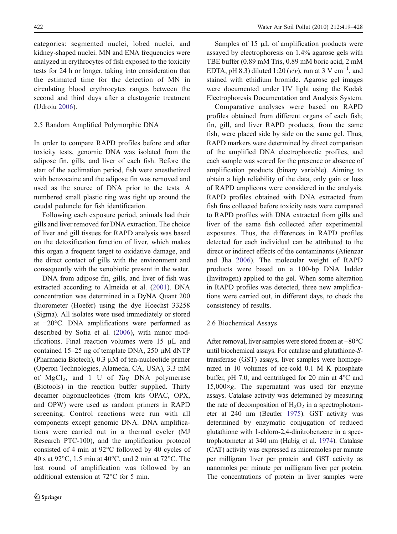categories: segmented nuclei, lobed nuclei, and kidney-shaped nuclei. MN and ENA frequencies were analyzed in erythrocytes of fish exposed to the toxicity tests for 24 h or longer, taking into consideration that the estimated time for the detection of MN in circulating blood erythrocytes ranges between the second and third days after a clastogenic treatment (Udroiu [2006\)](#page-9-0).

# 2.5 Random Amplified Polymorphic DNA

In order to compare RAPD profiles before and after toxicity tests, genomic DNA was isolated from the adipose fin, gills, and liver of each fish. Before the start of the acclimation period, fish were anesthetized with benzocaine and the adipose fin was removed and used as the source of DNA prior to the tests. A numbered small plastic ring was tight up around the caudal peduncle for fish identification.

Following each exposure period, animals had their gills and liver removed for DNA extraction. The choice of liver and gill tissues for RAPD analysis was based on the detoxification function of liver, which makes this organ a frequent target to oxidative damage, and the direct contact of gills with the environment and consequently with the xenobiotic present in the water.

DNA from adipose fin, gills, and liver of fish was extracted according to Almeida et al. ([2001](#page-8-0)). DNA concentration was determined in a DyNA Quant 200 fluorometer (Hoefer) using the dye Hoechst 33258 (Sigma). All isolates were used immediately or stored at −20°C. DNA amplifications were performed as described by Sofia et al. ([2006\)](#page-9-0), with minor modifications. Final reaction volumes were 15 μL and contained 15–25 ng of template DNA, 250 μM dNTP (Pharmacia Biotech), 0.3 μM of ten-nucleotide primer (Operon Technologies, Alameda, CA, USA), 3.3 mM of  $MgCl<sub>2</sub>$ , and 1 U of Taq DNA polymerase (Biotools) in the reaction buffer supplied. Thirty decamer oligonucleotides (from kits OPAC, OPX, and OPW) were used as random primers in RAPD screening. Control reactions were run with all components except genomic DNA. DNA amplifications were carried out in a thermal cycler (MJ Research PTC-100), and the amplification protocol consisted of 4 min at 92°C followed by 40 cycles of 40 s at 92°C, 1.5 min at 40°C, and 2 min at 72°C. The last round of amplification was followed by an additional extension at 72°C for 5 min.

Samples of 15 μL of amplification products were assayed by electrophoresis on 1.4% agarose gels with TBE buffer (0.89 mM Tris, 0.89 mM boric acid, 2 mM EDTA, pH 8.3) diluted 1:20 ( $v/v$ ), run at 3 V cm<sup>-1</sup>, and stained with ethidium bromide. Agarose gel images were documented under UV light using the Kodak Electrophoresis Documentation and Analysis System.

Comparative analyses were based on RAPD profiles obtained from different organs of each fish; fin, gill, and liver RAPD products, from the same fish, were placed side by side on the same gel. Thus, RAPD markers were determined by direct comparison of the amplified DNA electrophoretic profiles, and each sample was scored for the presence or absence of amplification products (binary variable). Aiming to obtain a high reliability of the data, only gain or loss of RAPD amplicons were considered in the analysis. RAPD profiles obtained with DNA extracted from fish fins collected before toxicity tests were compared to RAPD profiles with DNA extracted from gills and liver of the same fish collected after experimental exposures. Thus, the differences in RAPD profiles detected for each individual can be attributed to the direct or indirect effects of the contaminants (Atienzar and Jha [2006](#page-8-0)). The molecular weight of RAPD products were based on a 100-bp DNA ladder (Invitrogen) applied to the gel. When some alteration in RAPD profiles was detected, three new amplifications were carried out, in different days, to check the consistency of results.

# 2.6 Biochemical Assays

After removal, liver samples were stored frozen at −80°C until biochemical assays. For catalase and glutathione-Stransferase (GST) assays, liver samples were homogenized in 10 volumes of ice-cold 0.1 M K phosphate buffer, pH 7.0, and centrifuged for 20 min at 4°C and  $15,000 \times g$ . The supernatant was used for enzyme assays. Catalase activity was determined by measuring the rate of decomposition of  $H_2O_2$  in a spectrophotometer at 240 nm (Beutler [1975\)](#page-8-0). GST activity was determined by enzymatic conjugation of reduced glutathione with 1-chloro-2,4-dinitrobenzene in a spectrophotometer at 340 nm (Habig et al. [1974](#page-9-0)). Catalase (CAT) activity was expressed as micromoles per minute per milligram liver per protein and GST activity as nanomoles per minute per milligram liver per protein. The concentrations of protein in liver samples were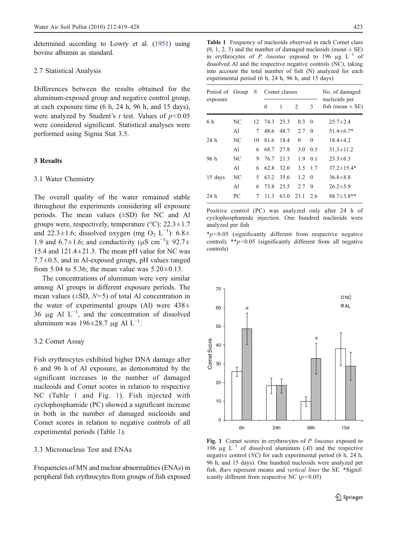determined according to Lowry et al. [\(1951\)](#page-9-0) using bovine albumin as standard.

#### 2.7 Statistical Analysis

Differences between the results obtained for the aluminum-exposed group and negative control group, at each exposure time (6 h, 24 h, 96 h, and 15 days), were analyzed by Student's  $t$  test. Values of  $p < 0.05$ were considered significant. Statistical analyses were performed using Sigma Stat 3.5.

## 3 Results

#### 3.1 Water Chemistry

The overall quality of the water remained stable throughout the experiments considering all exposure periods. The mean values (±SD) for NC and Al groups were, respectively, temperature ( $\degree$ C): 22.3 $\pm$ 1.7 and 22.3 $\pm$ 1.6; dissolved oxygen (mg O<sub>2</sub> L<sup>-1</sup>): 6.8 $\pm$ 1.9 and 6.7±1.6; and conductivity ( $\mu$ S cm<sup>-1</sup>): 92.7± 15.4 and  $121.4 \pm 21.3$ . The mean pH value for NC was  $7.7\pm0.5$ , and in Al-exposed groups, pH values ranged from 5.04 to 5.36; the mean value was  $5.20 \pm 0.13$ .

The concentrations of aluminum were very similar among Al groups in different exposure periods. The mean values  $(\pm SD, N=5)$  of total Al concentration in the water of experimental groups (Al) were  $438\pm$ 36  $\mu$ g Al L<sup>-1</sup>, and the concentration of dissolved aluminum was 196 $\pm$ 28.7 µg Al L<sup>-1</sup>.

#### 3.2 Comet Assay

Fish erythrocytes exhibited higher DNA damage after 6 and 96 h of Al exposure, as demonstrated by the significant increases in the number of damaged nucleoids and Comet scores in relation to respective NC (Table 1 and Fig. 1). Fish injected with cyclophosphamide (PC) showed a significant increase in both in the number of damaged nucleoids and Comet scores in relation to negative controls of all experimental periods (Table 1).

## 3.3 Micronucleus Test and ENAs

Frequencies of MN and nuclear abnormalities (ENAs) in peripheral fish erythrocytes from groups of fish exposed

Table 1 Frequency of nucleoids observed in each Comet class  $(0, 1, 2, 3)$  and the number of damaged nucleoids (mean  $\pm$  SE) in erythrocytes of P. lineatus exposed to 196  $\mu$ g L<sup>-1</sup> of dissolved Al and the respective negative controls (NC), taking into account the total number of fish (N) analyzed for each experimental period (6 h, 24 h, 96 h, and 15 days)

| Period of Group |    | N   | Comet classes |      |          |                | No. of damaged                        |
|-----------------|----|-----|---------------|------|----------|----------------|---------------------------------------|
| exposure        |    |     | $\theta$      | 1    | 2        | 3              | nucleoids per<br>fish (mean $\pm$ SE) |
| 6 h             | NC | 12. | 743           | 253  | 0.3      | $\Omega$       | $25.7 \pm 2.4$                        |
|                 | A1 | 7   | 48.6          | 48.7 | 2.7      | $\theta$       | $51.4 \pm 6.7*$                       |
| 24 <sub>h</sub> | NC | 10  | 816           | 184  | $\Omega$ | $\theta$       | $184 + 42$                            |
|                 | A1 | 6   | 68.7          | 27.8 | 3.0      | 0.5            | $31.3 \pm 11.2$                       |
| 96 h            | NC | 9   | 76.7          | 213  | 1.9      | 0 <sub>1</sub> | $23.3 \pm 6.3$                        |
|                 | A1 | 6   | 62.8          | 32.0 | 3.5      | 1.7            | $37.2 \pm 15.4*$                      |
| 15 days         | NC | 5   | 63.2          | 35.6 | 1.2      | $\theta$       | $36.8 \pm 8.8$                        |
|                 | A1 | 6   | 73.8          | 23.5 | 27       | $\Omega$       | $26.2 \pm 5.9$                        |
| 24 h            | PC | 7   | 113           | 63.0 | 23.1     | 2.6            | $88.7 \pm 3.8$ **                     |

Positive control (PC) was analyzed only after 24 h of cyclophosphamide injection. One hundred nucleoids were analyzed per fish

 $*p<0.05$  (significantly different from respective negative control);  $* p < 0.05$  (significantly different from all negative controls)



Fig. 1 Comet scores in erythrocytes of P. lineatus exposed to 196 µg  $L^{-1}$  of dissolved aluminum (Al) and the respective negative control (NC) for each experimental period (6 h, 24 h, 96 h, and 15 days). One hundred nucleoids were analyzed per fish. Bars represent means and vertical lines the SE. \*Significantly different from respective NC  $(p<0.05)$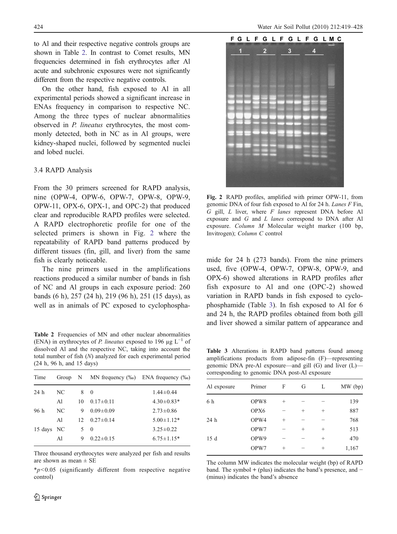<span id="page-5-0"></span>to Al and their respective negative controls groups are shown in Table 2. In contrast to Comet results, MN frequencies determined in fish erythrocytes after Al acute and subchronic exposures were not significantly different from the respective negative controls.

On the other hand, fish exposed to Al in all experimental periods showed a significant increase in ENAs frequency in comparison to respective NC. Among the three types of nuclear abnormalities observed in P. lineatus erythrocytes, the most commonly detected, both in NC as in Al groups, were kidney-shaped nuclei, followed by segmented nuclei and lobed nuclei.

## 3.4 RAPD Analysis

From the 30 primers screened for RAPD analysis, nine (OPW-4, OPW-6, OPW-7, OPW-8, OPW-9, OPW-11, OPX-6, OPX-1, and OPC-2) that produced clear and reproducible RAPD profiles were selected. A RAPD electrophoretic profile for one of the selected primers is shown in Fig. 2 where the repeatability of RAPD band patterns produced by different tissues (fin, gill, and liver) from the same fish is clearly noticeable.

The nine primers used in the amplifications reactions produced a similar number of bands in fish of NC and Al groups in each exposure period: 260 bands (6 h), 257 (24 h), 219 (96 h), 251 (15 days), as well as in animals of PC exposed to cyclophospha-

Table 2 Frequencies of MN and other nuclear abnormalities (ENA) in erythrocytes of P. lineatus exposed to 196  $\mu$ g L<sup>-1</sup> of dissolved Al and the respective NC, taking into account the total number of fish (N) analyzed for each experimental period (24 h, 96 h, and 15 days)

|            |    |                 | MN frequency $(\%_0)$ ENA frequency $(\%_0)$ |
|------------|----|-----------------|----------------------------------------------|
| NC         | 8  | $\Omega$        | $1.44 \pm 0.44$                              |
| A1         | 10 | $0.17 \pm 0.11$ | $4.30\pm0.83*$                               |
| NC         | 9  | $0.09 \pm 0.09$ | $2.73 \pm 0.86$                              |
| A1         | 12 | $0.27 \pm 0.14$ | $5.00 \pm 1.12*$                             |
| 15 days NC | 5  | $\Omega$        | $3.25 \pm 0.22$                              |
| A1         | 9  | $0.22 \pm 0.15$ | $6.75 \pm 1.15*$                             |
|            |    |                 | Group N                                      |

Three thousand erythrocytes were analyzed per fish and results are shown as mean ± SE

 $*p<0.05$  (significantly different from respective negative control)



Fig. 2 RAPD profiles, amplified with primer OPW-11, from genomic DNA of four fish exposed to Al for 24 h. Lanes F Fin, G gill,  $L$  liver, where  $F$  lanes represent DNA before Al exposure and G and L lanes correspond to DNA after Al exposure. Column M Molecular weight marker (100 bp, Invitrogen); Column C control

mide for 24 h (273 bands). From the nine primers used, five (OPW-4, OPW-7, OPW-8, OPW-9, and OPX-6) showed alterations in RAPD profiles after fish exposure to Al and one (OPC-2) showed variation in RAPD bands in fish exposed to cyclophosphamide (Table 3). In fish exposed to Al for 6 and 24 h, the RAPD profiles obtained from both gill and liver showed a similar pattern of appearance and

Table 3 Alterations in RAPD band patterns found among amplifications products from adipose-fin (F)—representing genomic DNA pre-Al exposure—and gill (G) and liver (L) corresponding to genomic DNA post-Al exposure

| Al exposure | Primer | F         | G      | L                  | $MW$ (bp) |
|-------------|--------|-----------|--------|--------------------|-----------|
| 6 h         | OPW8   | $^{+}$    | -      | -                  | 139       |
|             | OPX6   |           | $^{+}$ | $^{+}$             | 887       |
| 24 h        | OPW4   | $^{+}$    |        |                    | 768       |
|             | OPW7   |           | $^{+}$ | $^{+}$             | 513       |
| 15d         | OPW9   |           |        | $\hspace{0.1mm} +$ | 470       |
|             | OPW7   | $\ddot{}$ |        | $^{+}$             | 1,167     |
|             |        |           |        |                    |           |

The column MW indicates the molecular weight (bp) of RAPD band. The symbol + (plus) indicates the band's presence, and − (minus) indicates the band's absence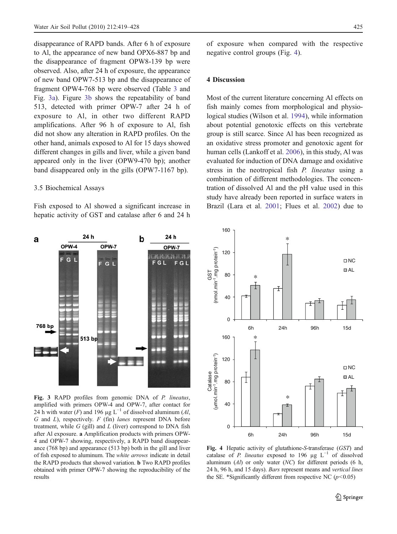disappearance of RAPD bands. After 6 h of exposure to Al, the appearance of new band OPX6-887 bp and the disappearance of fragment OPW8-139 bp were observed. Also, after 24 h of exposure, the appearance of new band OPW7-513 bp and the disappearance of fragment OPW4-768 bp were observed (Table [3](#page-5-0) and Fig. 3a). Figure 3b shows the repeatability of band 513, detected with primer OPW-7 after 24 h of exposure to Al, in other two different RAPD amplifications. After 96 h of exposure to Al, fish did not show any alteration in RAPD profiles. On the other hand, animals exposed to Al for 15 days showed different changes in gills and liver, while a given band appeared only in the liver (OPW9-470 bp); another band disappeared only in the gills (OPW7-1167 bp).

#### 3.5 Biochemical Assays

Fish exposed to Al showed a significant increase in hepatic activity of GST and catalase after 6 and 24 h

of exposure when compared with the respective negative control groups (Fig. 4).

## 4 Discussion

Most of the current literature concerning Al effects on fish mainly comes from morphological and physiological studies (Wilson et al. [1994\)](#page-9-0), while information about potential genotoxic effects on this vertebrate group is still scarce. Since Al has been recognized as an oxidative stress promoter and genotoxic agent for human cells (Lankoff et al. [2006\)](#page-9-0), in this study, Al was evaluated for induction of DNA damage and oxidative stress in the neotropical fish P. lineatus using a combination of different methodologies. The concentration of dissolved Al and the pH value used in this study have already been reported in surface waters in Brazil (Lara et al. [2001;](#page-9-0) Flues et al. [2002\)](#page-9-0) due to



Fig. 3 RAPD profiles from genomic DNA of P. lineatus, amplified with primers OPW-4 and OPW-7, after contact for 24 h with water (F) and 196 µg L<sup>-1</sup> of dissolved aluminum (Al,  $G$  and  $L$ ), respectively.  $F$  (fin) lanes represent DNA before treatment, while  $G$  (gill) and  $L$  (liver) correspond to DNA fish after Al exposure. a Amplification products with primers OPW-4 and OPW-7 showing, respectively, a RAPD band disappearance (768 bp) and appearance (513 bp) both in the gill and liver of fish exposed to aluminum. The white arrows indicate in detail the RAPD products that showed variation. b Two RAPD profiles obtained with primer OPW-7 showing the reproducibility of the results



Fig. 4 Hepatic activity of glutathione-S-transferase (GST) and catalase of P. lineatus exposed to 196 µg  $L^{-1}$  of dissolved aluminum  $(A)$  or only water  $(NC)$  for different periods  $(6 \text{ h},$ 24 h, 96 h, and 15 days). Bars represent means and vertical lines the SE. \*Significantly different from respective NC ( $p$ <0.05)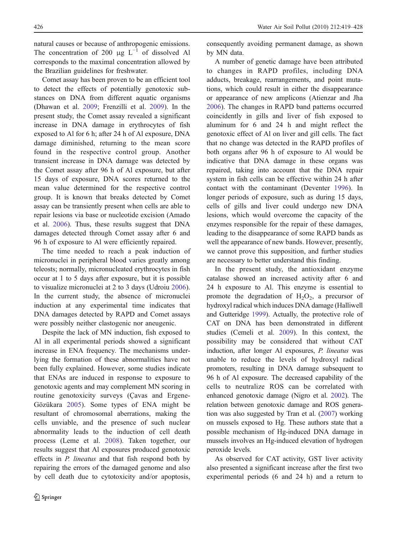natural causes or because of anthropogenic emissions. The concentration of 200 μg  $L^{-1}$  of dissolved Al corresponds to the maximal concentration allowed by the Brazilian guidelines for freshwater.

Comet assay has been proven to be an efficient tool to detect the effects of potentially genotoxic substances on DNA from different aquatic organisms (Dhawan et al. [2009](#page-8-0); Frenzilli et al. [2009](#page-9-0)). In the present study, the Comet assay revealed a significant increase in DNA damage in erythrocytes of fish exposed to Al for 6 h; after 24 h of Al exposure, DNA damage diminished, returning to the mean score found in the respective control group. Another transient increase in DNA damage was detected by the Comet assay after 96 h of Al exposure, but after 15 days of exposure, DNA scores returned to the mean value determined for the respective control group. It is known that breaks detected by Comet assay can be transiently present when cells are able to repair lesions via base or nucleotide excision (Amado et al. [2006](#page-8-0)). Thus, these results suggest that DNA damages detected through Comet assay after 6 and 96 h of exposure to Al were efficiently repaired.

The time needed to reach a peak induction of micronuclei in peripheral blood varies greatly among teleosts; normally, micronucleated erythrocytes in fish occur at 1 to 5 days after exposure, but it is possible to visualize micronuclei at 2 to 3 days (Udroiu [2006](#page-9-0)). In the current study, the absence of micronuclei induction at any experimental time indicates that DNA damages detected by RAPD and Comet assays were possibly neither clastogenic nor aneugenic.

Despite the lack of MN induction, fish exposed to Al in all experimental periods showed a significant increase in ENA frequency. The mechanisms underlying the formation of these abnormalities have not been fully explained. However, some studies indicate that ENAs are induced in response to exposure to genotoxic agents and may complement MN scoring in routine genotoxicity surveys (Çavas and Ergene-Gözükara [2005](#page-8-0)). Some types of ENA might be resultant of chromosomal aberrations, making the cells unviable, and the presence of such nuclear abnormality leads to the induction of cell death process (Leme et al. [2008\)](#page-9-0). Taken together, our results suggest that Al exposures produced genotoxic effects in P. lineatus and that fish respond both by repairing the errors of the damaged genome and also by cell death due to cytotoxicity and/or apoptosis, consequently avoiding permanent damage, as shown by MN data.

A number of genetic damage have been attributed to changes in RAPD profiles, including DNA adducts, breakage, rearrangements, and point mutations, which could result in either the disappearance or appearance of new amplicons (Atienzar and Jha [2006\)](#page-8-0). The changes in RAPD band patterns occurred coincidently in gills and liver of fish exposed to aluminum for 6 and 24 h and might reflect the genotoxic effect of Al on liver and gill cells. The fact that no change was detected in the RAPD profiles of both organs after 96 h of exposure to Al would be indicative that DNA damage in these organs was repaired, taking into account that the DNA repair system in fish cells can be effective within 24 h after contact with the contaminant (Deventer [1996\)](#page-8-0). In longer periods of exposure, such as during 15 days, cells of gills and liver could undergo new DNA lesions, which would overcome the capacity of the enzymes responsible for the repair of these damages, leading to the disappearance of some RAPD bands as well the appearance of new bands. However, presently, we cannot prove this supposition, and further studies are necessary to better understand this finding.

In the present study, the antioxidant enzyme catalase showed an increased activity after 6 and 24 h exposure to Al. This enzyme is essential to promote the degradation of  $H_2O_2$ , a precursor of hydroxyl radical which induces DNA damage (Halliwell and Gutteridge [1999](#page-9-0)). Actually, the protective role of CAT on DNA has been demonstrated in different studies (Cemeli et al. [2009](#page-8-0)). In this context, the possibility may be considered that without CAT induction, after longer Al exposures, P. lineatus was unable to reduce the levels of hydroxyl radical promoters, resulting in DNA damage subsequent to 96 h of Al exposure. The decreased capability of the cells to neutralize ROS can be correlated with enhanced genotoxic damage (Nigro et al. [2002\)](#page-9-0). The relation between genotoxic damage and ROS generation was also suggested by Tran et al. [\(2007](#page-9-0)) working on mussels exposed to Hg. These authors state that a possible mechanism of Hg-induced DNA damage in mussels involves an Hg-induced elevation of hydrogen peroxide levels.

As observed for CAT activity, GST liver activity also presented a significant increase after the first two experimental periods (6 and 24 h) and a return to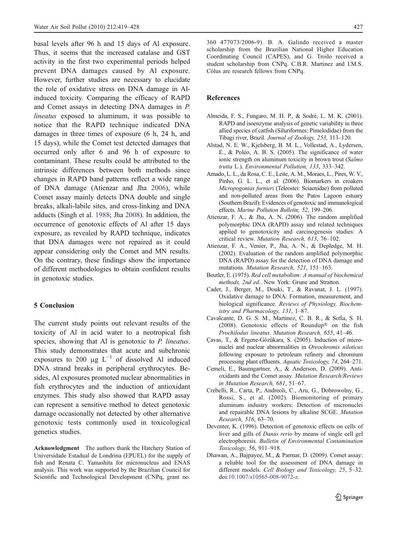<span id="page-8-0"></span>basal levels after 96 h and 15 days of Al exposure. Thus, it seems that the increased catalase and GST activity in the first two experimental periods helped prevent DNA damages caused by Al exposure. However, further studies are necessary to elucidate the role of oxidative stress on DNA damage in Alinduced toxicity. Comparing the efficacy of RAPD and Comet assays in detecting DNA damages in P. lineatus exposed to aluminum, it was possible to notice that the RAPD technique indicated DNA damages in three times of exposure (6 h, 24 h, and 15 days), while the Comet test detected damages that occurred only after 6 and 96 h of exposure to contaminant. These results could be attributed to the intrinsic differences between both methods since changes in RAPD band patterns reflect a wide range of DNA damage (Atienzar and Jha 2006), while Comet assay mainly detects DNA double and single breaks, alkali-labile sites, and cross-linking and DNA adducts (Singh et al. [1988](#page-9-0); Jha [2008\)](#page-9-0). In addition, the occurrence of genotoxic effects of Al after 15 days exposure, as revealed by RAPD technique, indicates that DNA damages were not repaired as it could appear considering only the Comet and MN results. On the contrary, these findings show the importance of different methodologies to obtain confident results in genotoxic studies.

#### 5 Conclusion

The current study points out relevant results of the toxicity of Al in acid water to a neotropical fish species, showing that Al is genotoxic to P. lineatus. This study demonstrates that acute and subchronic exposures to 200  $\mu$ g L<sup>-1</sup> of dissolved Al induced DNA strand breaks in peripheral erythrocytes. Besides, Al exposures promoted nuclear abnormalities in fish erythrocytes and the induction of antioxidant enzymes. This study also showed that RAPD assay can represent a sensitive method to detect genotoxic damage occasionally not detected by other alternative genotoxic tests commonly used in toxicological genetics studies.

Acknowledgment The authors thank the Hatchery Station of Universidade Estadual de Londrina (EPUEL) for the supply of fish and Renata C. Yamashita for micronucleus and ENAS analysis. This work was supported by the Brazilian Council for Scientific and Technological Development (CNPq, grant no.

360 477073/2006-9). B. A. Galindo received a master scholarship from the Brazilian National Higher Education Coordinating Council (CAPES), and G. Troilo received a student scholarship from CNPq. C.B.R. Martinez and I.M.S. Cólus are research fellows from CNPq.

#### References

- Almeida, F. S., Fungaro, M. H. P., & Sodré, L. M. K. (2001). RAPD and isoenzyme analysis of genetic variability in three allied species of catfish (Siluriformes: Pimelodidae) from the Tibagi river, Brazil. Journal of Zoology, 253, 113–120.
- Alstad, N. E. W., Kjelsberg, B. M. L., Vollestad, A., Lydersen, E., & Poléo, A. B. S. (2005). The significance of water ionic strength on aluminum toxicity in brown trout (Salmo trutta L.). Environmental Pollution, 133, 333–342.
- Amado, L. L., da Rosa, C. E., Leite, A. M., Moraes, L., Pires, W. V., Pinho, G. L. L., et al. (2006). Biomarkers in croakers Micropogonias furnieri (Teleostei: Sciaenidae) from polluted and non-polluted areas from the Patos Lagoon estuary (Southern Brazil): Evidences of genotoxic and immunological effects. Marine Pollution Bulletin, 52, 199–206.
- Atienzar, F. A., & Jha, A. N. (2006). The random amplified polymorphic DNA (RAPD) assay and related techniques applied to genotoxicity and carcinogenesis studies: A critical review. Mutation Research, 613, 76–102.
- Atienzar, F. A., Venier, P., Jha, A. N., & Depledge, M. H. (2002). Evaluation of the random amplified polymorphic DNA (RAPD) assay for the detection of DNA damage and mutations. Mutation Research, 521, 151–163.
- Beutler, E. (1975). Red cell metabolism: A manual of biochemical methods, 2nd ed.. New York: Grune and Stratton.
- Cadet, J., Berger, M., Douki, T., & Ravanat, J. L. (1997). Oxidative damage to DNA: Formation, measurement, and biological significance. Reviews of Physiology, Biochemistry and Pharmacology, 131, 1–87.
- Cavalcante, D. G. S. M., Martinez, C. B. R., & Sofia, S. H. (2008). Genotoxic effects of Roundup® on the fish Prochilodus lineatus. Mutation Research, 655, 41–46.
- Çavas, T., & Ergene-Gözükara, S. (2005). Induction of micronuclei and nuclear abnormalities in Oreochromis niloticus following exposure to petroleum refinery and chromium processing plant effluents. Aquatic Toxicology, 74, 264–271.
- Cemeli, E., Baumgartner, A., & Anderson, D. (2009). Antioxidants and the Comet assay. Mutation Research/Reviews in Mutation Research, 681, 51–67.
- Crebelli, R., Carta, P., Andreoli, C., Aru, G., Dobrowolny, G., Rossi, S., et al. (2002). Biomonitoring of primary aluminum industry workers: Detection of micronuclei and repairable DNA lesions by alkaline SCGE. Mutation Research, 516, 63–70.
- Deventer, K. (1996). Detection of genotoxic effects on cells of liver and gills of Danio rerio by means of single cell gel electrophoresis. Bulletin of Environmental Contamination Toxicology, 56, 911–918.
- Dhawan, A., Bajpayee, M., & Parmar, D. (2009). Comet assay: a reliable tool for the assessment of DNA damage in different models. Cell Biology and Toxicology, 25, 5–32. doi:[10.1007/s10565-008-9072-z.](http://dx.doi.org/10.1007/s10565-008-9072-z)